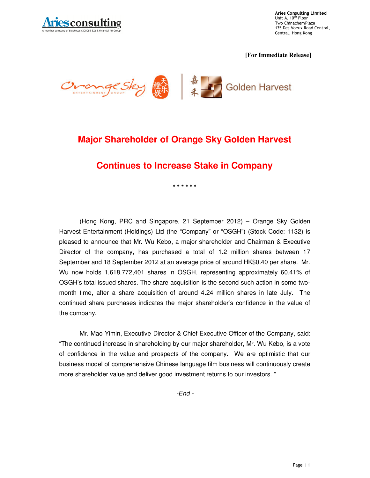

**Aries Consulting Limited**<br>Unit A, 10<sup>th</sup> Floor Two ChinachemPlaza 135 Des Voeux Road Central, Central, Hong Kong

**[For Immediate Release]** 



# **Major Shareholder of Orange Sky Golden Harvest**

## **Continues to Increase Stake in Company**

**\* \* \* \* \* \*** 

(Hong Kong, PRC and Singapore, 21 September 2012) – Orange Sky Golden Harvest Entertainment (Holdings) Ltd (the "Company" or "OSGH") (Stock Code: 1132) is pleased to announce that Mr. Wu Kebo, a major shareholder and Chairman & Executive Director of the company, has purchased a total of 1.2 million shares between 17 September and 18 September 2012 at an average price of around HK\$0.40 per share. Mr. Wu now holds 1,618,772,401 shares in OSGH, representing approximately 60.41% of OSGH's total issued shares. The share acquisition is the second such action in some twomonth time, after a share acquisition of around 4.24 million shares in late July. The continued share purchases indicates the major shareholder's confidence in the value of the company.

Mr. Mao Yimin, Executive Director & Chief Executive Officer of the Company, said: "The continued increase in shareholding by our major shareholder, Mr. Wu Kebo, is a vote of confidence in the value and prospects of the company. We are optimistic that our business model of comprehensive Chinese language film business will continuously create more shareholder value and deliver good investment returns to our investors. "

-End -